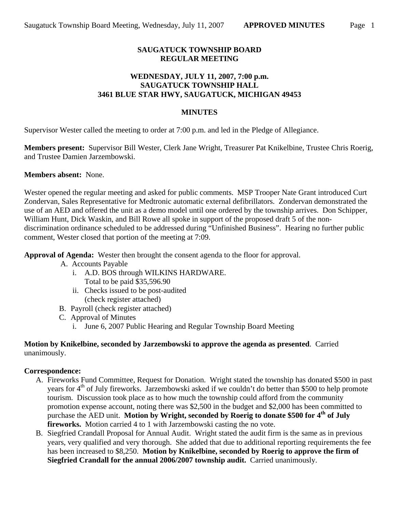# **SAUGATUCK TOWNSHIP BOARD REGULAR MEETING**

# **WEDNESDAY, JULY 11, 2007, 7:00 p.m. SAUGATUCK TOWNSHIP HALL 3461 BLUE STAR HWY, SAUGATUCK, MICHIGAN 49453**

# **MINUTES**

Supervisor Wester called the meeting to order at 7:00 p.m. and led in the Pledge of Allegiance.

**Members present:** Supervisor Bill Wester, Clerk Jane Wright, Treasurer Pat Knikelbine, Trustee Chris Roerig, and Trustee Damien Jarzembowski.

# **Members absent:** None.

Wester opened the regular meeting and asked for public comments. MSP Trooper Nate Grant introduced Curt Zondervan, Sales Representative for Medtronic automatic external defibrillators. Zondervan demonstrated the use of an AED and offered the unit as a demo model until one ordered by the township arrives. Don Schipper, William Hunt, Dick Waskin, and Bill Rowe all spoke in support of the proposed draft 5 of the nondiscrimination ordinance scheduled to be addressed during "Unfinished Business". Hearing no further public comment, Wester closed that portion of the meeting at 7:09.

**Approval of Agenda:** Wester then brought the consent agenda to the floor for approval.

- A. Accounts Payable
	- i. A.D. BOS through WILKINS HARDWARE. Total to be paid \$35,596.90
	- ii. Checks issued to be post-audited (check register attached)
- B. Payroll (check register attached)
- C. Approval of Minutes
	- i. June 6, 2007 Public Hearing and Regular Township Board Meeting

#### **Motion by Knikelbine, seconded by Jarzembowski to approve the agenda as presented**. Carried unanimously.

#### **Correspondence:**

- A. Fireworks Fund Committee, Request for Donation. Wright stated the township has donated \$500 in past years for 4<sup>th</sup> of July fireworks. Jarzembowski asked if we couldn't do better than \$500 to help promote tourism. Discussion took place as to how much the township could afford from the community promotion expense account, noting there was \$2,500 in the budget and \$2,000 has been committed to purchase the AED unit. **Motion by Wright, seconded by Roerig to donate \$500 for 4th of July fireworks.** Motion carried 4 to 1 with Jarzembowski casting the no vote.
- B. Siegfried Crandall Proposal for Annual Audit. Wright stated the audit firm is the same as in previous years, very qualified and very thorough. She added that due to additional reporting requirements the fee has been increased to \$8,250. **Motion by Knikelbine, seconded by Roerig to approve the firm of Siegfried Crandall for the annual 2006/2007 township audit.** Carried unanimously.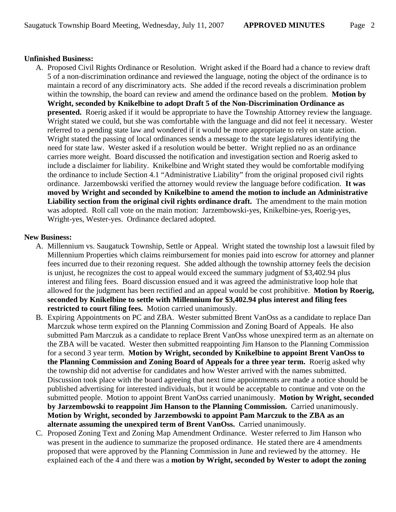# **Unfinished Business:**

A. Proposed Civil Rights Ordinance or Resolution. Wright asked if the Board had a chance to review draft 5 of a non-discrimination ordinance and reviewed the language, noting the object of the ordinance is to maintain a record of any discriminatory acts. She added if the record reveals a discrimination problem within the township, the board can review and amend the ordinance based on the problem. **Motion by Wright, seconded by Knikelbine to adopt Draft 5 of the Non-Discrimination Ordinance as presented.** Roerig asked if it would be appropriate to have the Township Attorney review the language. Wright stated we could, but she was comfortable with the language and did not feel it necessary. Wester referred to a pending state law and wondered if it would be more appropriate to rely on state action. Wright stated the passing of local ordinances sends a message to the state legislatures identifying the need for state law. Wester asked if a resolution would be better. Wright replied no as an ordinance carries more weight. Board discussed the notification and investigation section and Roerig asked to include a disclaimer for liability. Knikelbine and Wright stated they would be comfortable modifying the ordinance to include Section 4.1 "Administrative Liability" from the original proposed civil rights ordinance. Jarzembowski verified the attorney would review the language before codification. **It was moved by Wright and seconded by Knikelbine to amend the motion to include an Administrative Liability section from the original civil rights ordinance draft.** The amendment to the main motion was adopted. Roll call vote on the main motion: Jarzembowski-yes, Knikelbine-yes, Roerig-yes, Wright-yes, Wester-yes. Ordinance declared adopted.

# **New Business:**

- A. Millennium vs. Saugatuck Township, Settle or Appeal. Wright stated the township lost a lawsuit filed by Millennium Properties which claims reimbursement for monies paid into escrow for attorney and planner fees incurred due to their rezoning request. She added although the township attorney feels the decision is unjust, he recognizes the cost to appeal would exceed the summary judgment of \$3,402.94 plus interest and filing fees. Board discussion ensued and it was agreed the administrative loop hole that allowed for the judgment has been rectified and an appeal would be cost prohibitive. **Motion by Roerig, seconded by Knikelbine to settle with Millennium for \$3,402.94 plus interest and filing fees restricted to court filing fees.** Motion carried unanimously.
- B. Expiring Appointments on PC and ZBA. Wester submitted Brent VanOss as a candidate to replace Dan Marczuk whose term expired on the Planning Commission and Zoning Board of Appeals. He also submitted Pam Marczuk as a candidate to replace Brent VanOss whose unexpired term as an alternate on the ZBA will be vacated. Wester then submitted reappointing Jim Hanson to the Planning Commission for a second 3 year term. **Motion by Wright, seconded by Knikelbine to appoint Brent VanOss to the Planning Commission and Zoning Board of Appeals for a three year term.** Roerig asked why the township did not advertise for candidates and how Wester arrived with the names submitted. Discussion took place with the board agreeing that next time appointments are made a notice should be published advertising for interested individuals, but it would be acceptable to continue and vote on the submitted people. Motion to appoint Brent VanOss carried unanimously. **Motion by Wright, seconded by Jarzembowski to reappoint Jim Hanson to the Planning Commission.** Carried unanimously. **Motion by Wright, seconded by Jarzembowski to appoint Pam Marczuk to the ZBA as an alternate assuming the unexpired term of Brent VanOss.** Carried unanimously.
- C. Proposed Zoning Text and Zoning Map Amendment Ordinance. Wester referred to Jim Hanson who was present in the audience to summarize the proposed ordinance. He stated there are 4 amendments proposed that were approved by the Planning Commission in June and reviewed by the attorney. He explained each of the 4 and there was a **motion by Wright, seconded by Wester to adopt the zoning**